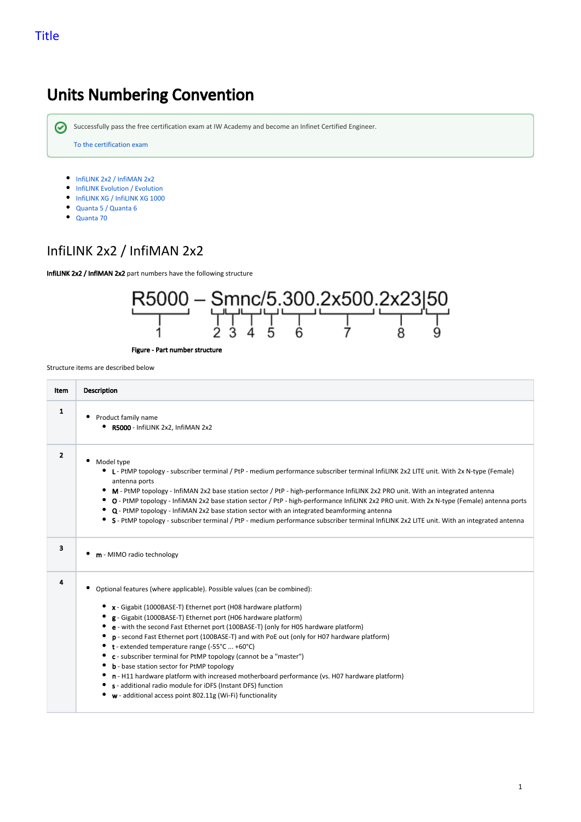# Units Numbering Convention

Successfully pass the free certification exam at IW Academy and become an Infinet Certified Engineer.

[To the certification exam](https://academy.infinetwireless.com/en/certifications/exams) 

- $\bullet$  [InfiLINK 2x2 / InfiMAN 2x2](#page-0-0)
- **•** [InfiLINK Evolution / Evolution](#page-1-0)
- **[InfiLINK XG / InfiLINK XG 1000](#page-2-0)**
- [Quanta 5 / Quanta 6](#page-3-0)
- [Quanta 70](#page-3-1)

### <span id="page-0-0"></span>InfiLINK 2x2 / InfiMAN 2x2

InfiLINK 2x2 / InfiMAN 2x2 part numbers have the following structure



Figure - Part number structure

| ltem           | <b>Description</b>                                                                                                                                                                                                                                                                                                                                                                                                                                                                                                                                                                                                                                                                                                                                                                                                       |
|----------------|--------------------------------------------------------------------------------------------------------------------------------------------------------------------------------------------------------------------------------------------------------------------------------------------------------------------------------------------------------------------------------------------------------------------------------------------------------------------------------------------------------------------------------------------------------------------------------------------------------------------------------------------------------------------------------------------------------------------------------------------------------------------------------------------------------------------------|
| $\mathbf{1}$   | Product family name<br>R5000 - InfiLINK 2x2, InfiMAN 2x2                                                                                                                                                                                                                                                                                                                                                                                                                                                                                                                                                                                                                                                                                                                                                                 |
| $\overline{2}$ | Model type<br>• L - PtMP topology - subscriber terminal / PtP - medium performance subscriber terminal InfiLINK 2x2 LITE unit. With 2x N-type (Female)<br>antenna ports<br>M - PtMP topology - InfiMAN 2x2 base station sector / PtP - high-performance InfiLINK 2x2 PRO unit. With an integrated antenna<br>٠<br>O - PtMP topology - InfiMAN 2x2 base station sector / PtP - high-performance InfiLINK 2x2 PRO unit. With 2x N-type (Female) antenna ports<br>٠<br>Q - PtMP topology - InfiMAN 2x2 base station sector with an integrated beamforming antenna<br>S - PtMP topology - subscriber terminal / PtP - medium performance subscriber terminal InfiLINK 2x2 LITE unit. With an integrated antenna                                                                                                              |
| 3              | m - MIMO radio technology                                                                                                                                                                                                                                                                                                                                                                                                                                                                                                                                                                                                                                                                                                                                                                                                |
| 4              | Optional features (where applicable). Possible values (can be combined):<br>x - Gigabit (1000BASE-T) Ethernet port (H08 hardware platform)<br>g - Gigabit (1000BASE-T) Ethernet port (H06 hardware platform)<br>e - with the second Fast Ethernet port (100BASE-T) (only for H05 hardware platform)<br>٠<br>p - second Fast Ethernet port (100BASE-T) and with PoE out (only for H07 hardware platform)<br>٠<br>t - extended temperature range (-55°C  +60°C)<br>c - subscriber terminal for PtMP topology (cannot be a "master")<br><b>b</b> - base station sector for PtMP topology<br>٠<br>n - H11 hardware platform with increased motherboard performance (vs. H07 hardware platform)<br>s - additional radio module for iDFS (Instant DFS) function<br>$w$ - additional access point 802.11g (Wi-Fi) functionality |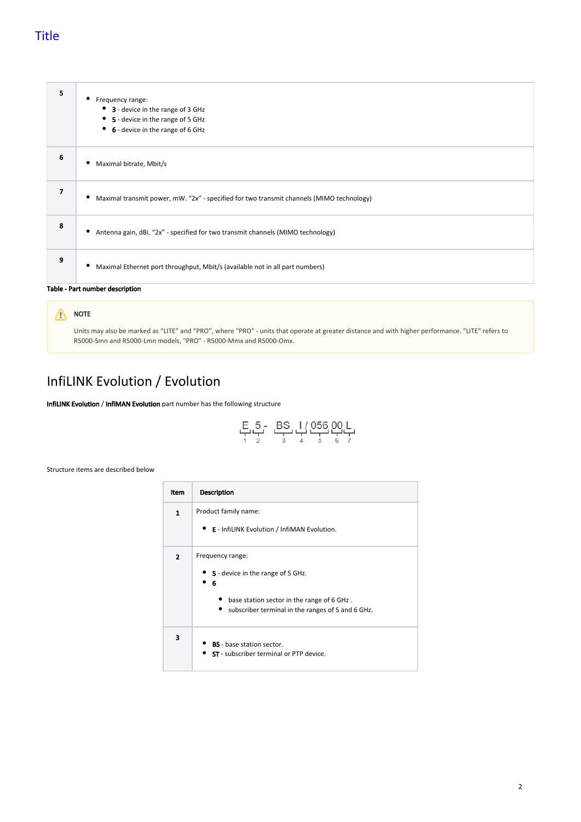#### Title

| 5                               | ٠<br>Frequency range:<br>3 - device in the range of 3 GHz<br>5 - device in the range of 5 GHz<br>6 - device in the range of 6 GHz |
|---------------------------------|-----------------------------------------------------------------------------------------------------------------------------------|
| 6                               | Maximal bitrate, Mbit/s                                                                                                           |
| $\overline{7}$                  | Maximal transmit power, mW. "2x" - specified for two transmit channels (MIMO technology)<br>٠                                     |
| 8                               | Antenna gain, dBi. "2x" - specified for two transmit channels (MIMO technology)<br>٠                                              |
| 9                               | Maximal Ethernet port throughput, Mbit/s (available not in all part numbers)<br>٠                                                 |
| Table - Part number description |                                                                                                                                   |

#### NOTE

Units may also be marked as "LITE" and "PRO", where "PRO" - units that operate at greater distance and with higher performance. "LITE" refers to R5000-Smn and R5000-Lmn models, "PRO" - R5000-Mmx and R5000-Omx.

## <span id="page-1-0"></span>InfiLINK Evolution / Evolution

InfiLINK Evolution / InfiMAN Evolution part number has the following structure

$$
\begin{array}{cccc}\nE & 5 - & BS & I & 056 & 00 & L \\
+ & 2 & 3 & 4 & 5 & 6\n\end{array}
$$

| Item           | <b>Description</b>                                                                                                                                              |
|----------------|-----------------------------------------------------------------------------------------------------------------------------------------------------------------|
| $\mathbf{1}$   | Product family name:<br><b>E</b> - InfiLINK Evolution / InfiMAN Evolution.                                                                                      |
| $\overline{2}$ | Frequency range:<br>5 - device in the range of 5 GHz.<br>6<br>• base station sector in the range of 6 GHz.<br>subscriber terminal in the ranges of 5 and 6 GHz. |
| 3              | <b>BS</b> - base station sector.<br><b>ST</b> - subscriber terminal or PTP device.                                                                              |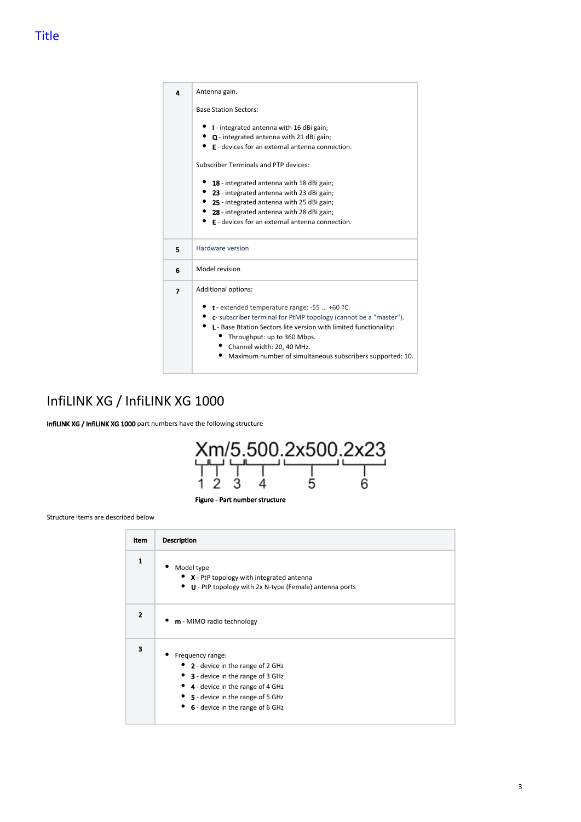| 4 | Antenna gain.                                                                                                                                                                                                                                                                                                                                      |
|---|----------------------------------------------------------------------------------------------------------------------------------------------------------------------------------------------------------------------------------------------------------------------------------------------------------------------------------------------------|
|   | <b>Base Station Sectors:</b>                                                                                                                                                                                                                                                                                                                       |
|   | • I - integrated antenna with 16 dBi gain;<br>• Q - integrated antenna with 21 dBi gain;<br>E - devices for an external antenna connection.<br>Subscriber Terminals and PTP devices:                                                                                                                                                               |
|   | 18 - integrated antenna with 18 dBi gain;<br>• 23 - integrated antenna with 23 dBi gain;<br>• 25 - integrated antenna with 25 dBi gain;<br>28 - integrated antenna with 28 dBi gain;<br>E - devices for an external antenna connection.                                                                                                            |
| 5 | Hardware version                                                                                                                                                                                                                                                                                                                                   |
| 6 | Model revision                                                                                                                                                                                                                                                                                                                                     |
| 7 | Additional options:<br><b>t</b> - extended temperature range: -55  +60 $°C$ .<br>• c- subscriber terminal for PtMP topology (cannot be a "master").<br>L - Base Btation Sectors lite version with limited functionality:<br>Throughput: up to 360 Mbps.<br>Channel width: 20, 40 MHz.<br>Maximum number of simultaneous subscribers supported: 10. |

## <span id="page-2-0"></span>InfiLINK XG / InfiLINK XG 1000

InfiLINK XG / InfiLINK XG 1000 part numbers have the following structure



| Item         | <b>Description</b>                                                                                                                                                                                           |
|--------------|--------------------------------------------------------------------------------------------------------------------------------------------------------------------------------------------------------------|
| 1            | Model type<br>• X - PtP topology with integrated antenna<br>• U - PtP topology with 2x N-type (Female) antenna ports                                                                                         |
| $\mathbf{2}$ | m - MIMO radio technology                                                                                                                                                                                    |
| 3            | Frequency range:<br>• 2 - device in the range of 2 GHz<br>• 3 - device in the range of 3 GHz<br>• 4 - device in the range of 4 GHz<br>• 5 - device in the range of 5 GHz<br>6 - device in the range of 6 GHz |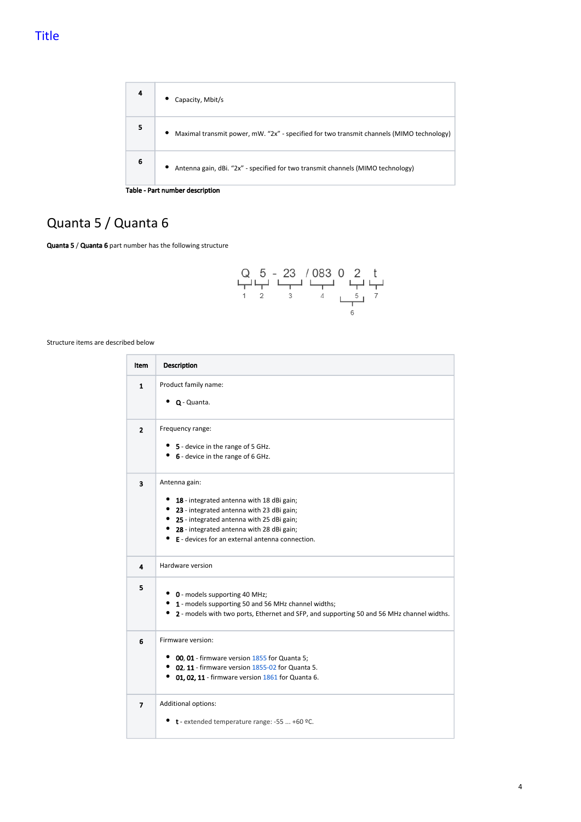

# <span id="page-3-0"></span>Quanta 5 / Quanta 6

Quanta 5 / Quanta 6 part number has the following structure



<span id="page-3-1"></span>

| Item                    | <b>Description</b>                                                                               |
|-------------------------|--------------------------------------------------------------------------------------------------|
| 1                       | Product family name:                                                                             |
|                         | $\bullet$ Q - Quanta.                                                                            |
| $\overline{2}$          | Frequency range:                                                                                 |
|                         | • 5 - device in the range of 5 GHz.                                                              |
|                         | • 6 - device in the range of 6 GHz.                                                              |
| $\overline{\mathbf{3}}$ | Antenna gain:                                                                                    |
|                         | 18 - integrated antenna with 18 dBi gain;                                                        |
|                         | • 23 - integrated antenna with 23 dBi gain;                                                      |
|                         | • 25 - integrated antenna with 25 dBi gain;                                                      |
|                         | • 28 - integrated antenna with 28 dBi gain;<br>• E - devices for an external antenna connection. |
|                         |                                                                                                  |
| 4                       | Hardware version                                                                                 |
| 5                       | • 0 - models supporting 40 MHz;                                                                  |
|                         | • 1 - models supporting 50 and 56 MHz channel widths;                                            |
|                         | • 2 - models with two ports, Ethernet and SFP, and supporting 50 and 56 MHz channel widths.      |
| 6                       | Firmware version:                                                                                |
|                         | 00, 01 - firmware version 1855 for Quanta 5;                                                     |
|                         | • 02, 11 - firmware version 1855-02 for Quanta 5.                                                |
|                         | • 01, 02, 11 - firmware version 1861 for Quanta 6.                                               |
| $\overline{7}$          | Additional options:                                                                              |
|                         | t - extended temperature range: -55  +60 $°C$ .                                                  |